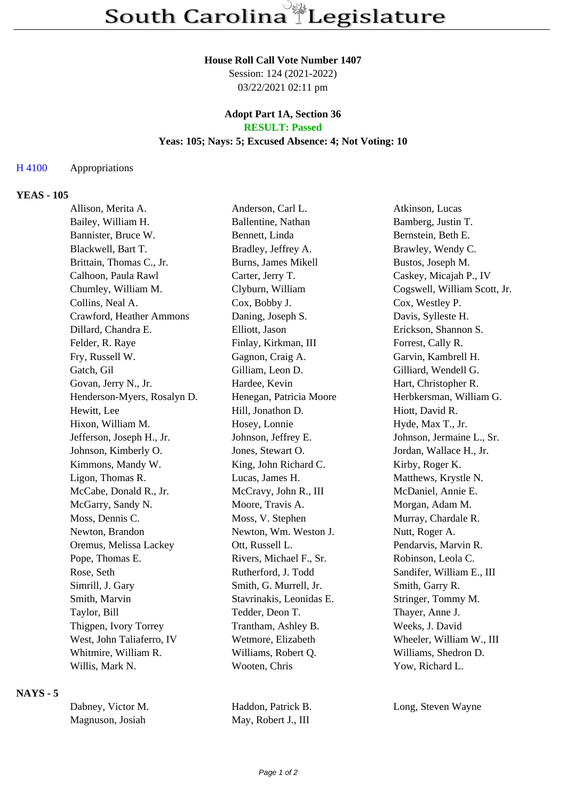## **House Roll Call Vote Number 1407**

Session: 124 (2021-2022) 03/22/2021 02:11 pm

#### **Adopt Part 1A, Section 36 RESULT: Passed**

## **Yeas: 105; Nays: 5; Excused Absence: 4; Not Voting: 10**

#### H 4100 Appropriations

## **YEAS - 105**

| Allison, Merita A.          | Anderson, Carl L.          | Atkinson, Lucas              |
|-----------------------------|----------------------------|------------------------------|
| Bailey, William H.          | Ballentine, Nathan         | Bamberg, Justin T.           |
| Bannister, Bruce W.         | Bennett, Linda             | Bernstein, Beth E.           |
| Blackwell, Bart T.          | Bradley, Jeffrey A.        | Brawley, Wendy C.            |
| Brittain, Thomas C., Jr.    | <b>Burns, James Mikell</b> | Bustos, Joseph M.            |
| Calhoon, Paula Rawl         | Carter, Jerry T.           | Caskey, Micajah P., IV       |
| Chumley, William M.         | Clyburn, William           | Cogswell, William Scott, Jr. |
| Collins, Neal A.            | Cox, Bobby J.              | Cox, Westley P.              |
| Crawford, Heather Ammons    | Daning, Joseph S.          | Davis, Sylleste H.           |
| Dillard, Chandra E.         | Elliott, Jason             | Erickson, Shannon S.         |
| Felder, R. Raye             | Finlay, Kirkman, III       | Forrest, Cally R.            |
| Fry, Russell W.             | Gagnon, Craig A.           | Garvin, Kambrell H.          |
| Gatch, Gil                  | Gilliam, Leon D.           | Gilliard, Wendell G.         |
| Govan, Jerry N., Jr.        | Hardee, Kevin              | Hart, Christopher R.         |
| Henderson-Myers, Rosalyn D. | Henegan, Patricia Moore    | Herbkersman, William G.      |
| Hewitt, Lee                 | Hill, Jonathon D.          | Hiott, David R.              |
| Hixon, William M.           | Hosey, Lonnie              | Hyde, Max T., Jr.            |
| Jefferson, Joseph H., Jr.   | Johnson, Jeffrey E.        | Johnson, Jermaine L., Sr.    |
| Johnson, Kimberly O.        | Jones, Stewart O.          | Jordan, Wallace H., Jr.      |
| Kimmons, Mandy W.           | King, John Richard C.      | Kirby, Roger K.              |
| Ligon, Thomas R.            | Lucas, James H.            | Matthews, Krystle N.         |
| McCabe, Donald R., Jr.      | McCravy, John R., III      | McDaniel, Annie E.           |
| McGarry, Sandy N.           | Moore, Travis A.           | Morgan, Adam M.              |
| Moss, Dennis C.             | Moss, V. Stephen           | Murray, Chardale R.          |
| Newton, Brandon             | Newton, Wm. Weston J.      | Nutt, Roger A.               |
| Oremus, Melissa Lackey      | Ott, Russell L.            | Pendarvis, Marvin R.         |
| Pope, Thomas E.             | Rivers, Michael F., Sr.    | Robinson, Leola C.           |
| Rose, Seth                  | Rutherford, J. Todd        | Sandifer, William E., III    |
| Simrill, J. Gary            | Smith, G. Murrell, Jr.     | Smith, Garry R.              |
| Smith, Marvin               | Stavrinakis, Leonidas E.   | Stringer, Tommy M.           |
| Taylor, Bill                | Tedder, Deon T.            | Thayer, Anne J.              |
| Thigpen, Ivory Torrey       | Trantham, Ashley B.        | Weeks, J. David              |
| West, John Taliaferro, IV   | Wetmore, Elizabeth         | Wheeler, William W., III     |
| Whitmire, William R.        | Williams, Robert Q.        | Williams, Shedron D.         |
| Willis, Mark N.             | Wooten, Chris              | Yow, Richard L.              |
|                             |                            |                              |

# **NAYS - 5**

| Dabney, Victor M. | Haddon, Patrick B.  | Long, Steven Wayne |
|-------------------|---------------------|--------------------|
| Magnuson, Josiah  | May, Robert J., III |                    |